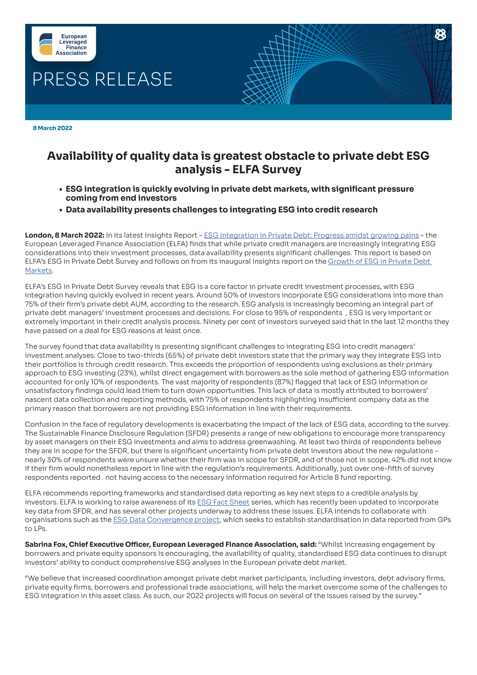

 **8 March 2022**

## **Availability of quality data is greatest obstacle to private debt ESG analysis - ELFA Survey**

- **• ESG integration is quickly evolving in private debt markets, with significant pressure coming from end investors**
- **• Data availability presents challenges to integrating ESG into credit research**

**London, 8 March 2022:** In its latest Insights Report – [ESG Integration in Private Debt: Progress amidst growing pains](https://elfainvestors.com/publications/?pubseries=elfa-insights&pubinitiatives=private-debt) – the European Leveraged Finance Association (ELFA) finds that while private credit managers are increasingly integrating ESG considerations into their investment processes, data availability presents significant challenges. This report is based on ELFA's ESG in Private Debt Survey and follows on from its inaugural Insights report on the [Growth of ESG in Private Debt](https://elfainvestors.com/wp-content/uploads/2021/10/ELFA-Insights-18-The-Growth-of-ESG-in-Private-Debt-Markets-Current-Challenges-Proposed-Next-Steps-and-ELFAs-ESG-in-Private-Debt-Survey.pdf)  [Markets](https://elfainvestors.com/wp-content/uploads/2021/10/ELFA-Insights-18-The-Growth-of-ESG-in-Private-Debt-Markets-Current-Challenges-Proposed-Next-Steps-and-ELFAs-ESG-in-Private-Debt-Survey.pdf).

ELFA's ESG in Private Debt Survey reveals that ESG is a core factor in private credit investment processes, with ESG integration having quickly evolved in recent years. Around 50% of investors incorporate ESG considerations into more than 75% of their firm's private debt AUM, according to the research. ESG analysis is increasingly becoming an integral part of private debt managers' investment processes and decisions. For close to 95% of respondents , ESG is very important or extremely important in their credit analysis process. Ninety per cent of investors surveyed said that in the last 12 months they have passed on a deal for ESG reasons at least once.

The survey found that data availability is presenting significant challenges to integrating ESG into credit managers' investment analyses. Close to two-thirds (65%) of private debt investors state that the primary way they integrate ESG into their portfolios is through credit research. This exceeds the proportion of respondents using exclusions as their primary approach to ESG investing (23%), whilst direct engagement with borrowers as the sole method of gathering ESG information accounted for only 10% of respondents. The vast majority of respondents (87%) flagged that lack of ESG information or unsatisfactory findings could lead them to turn down opportunities. This lack of data is mostly attributed to borrowers' nascent data collection and reporting methods, with 75% of respondents highlighting insufficient company data as the primary reason that borrowers are not providing ESG information in line with their requirements.

Confusion in the face of regulatory developments is exacerbating the impact of the lack of ESG data, according to the survey. The Sustainable Finance Disclosure Regulation (SFDR) presents a range of new obligations to encourage more transparency by asset managers on their ESG investments and aims to address greenwashing. At least two thirds of respondents believe they are in scope for the SFDR, but there is significant uncertainty from private debt investors about the new regulations – nearly 30% of respondents were unsure whether their firm was in scope for SFDR, and of those not in scope, 42% did not know if their firm would nonetheless report in line with the regulation's requirements. Additionally, just over one-fifth of survey respondents reported not having access to the necessary information required for Article 8 fund reporting.

ELFA recommends reporting frameworks and standardised data reporting as key next steps to a credible analysis by investors. ELFA is working to raise awareness of its **[ESG Fact Sheet](https://elfainvestors.com/publications/elfa-diligence/?pubinitiatives=esg)** series, which has recently been updated to incorporate key data from SFDR, and has several other projects underway to address these issues. ELFA intends to collaborate with organisations such as the **[ESG Data Convergence project](https://ilpa.org/ilpa_esg_roadmap/esg_data_convergence_project/)**, which seeks to establish standardisation in data reported from GPs to LPs.

**Sabrina Fox, Chief Executive Officer, European Leveraged Finance Association, said:** "Whilst increasing engagement by borrowers and private equity sponsors is encouraging, the availability of quality, standardised ESG data continues to disrupt investors' ability to conduct comprehensive ESG analyses in the European private debt market.

"We believe that increased coordination amongst private debt market participants, including investors, debt advisory firms, private equity firms, borrowers and professional trade associations, will help the market overcome some of the challenges to ESG integration in this asset class. As such, our 2022 projects will focus on several of the issues raised by the survey."